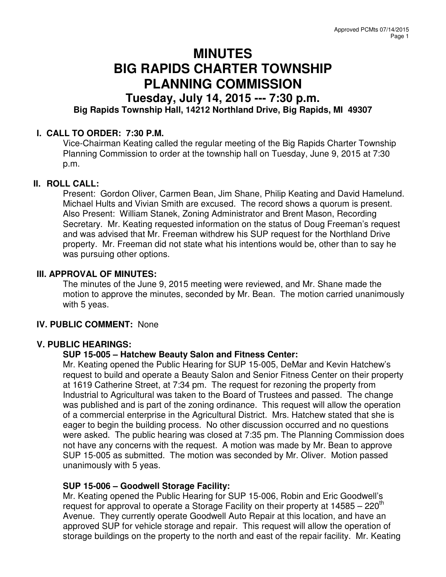# **MINUTES BIG RAPIDS CHARTER TOWNSHIP PLANNING COMMISSION**

# **Tuesday, July 14, 2015 --- 7:30 p.m. Big Rapids Township Hall, 14212 Northland Drive, Big Rapids, MI 49307**

## **I. CALL TO ORDER: 7:30 P.M.**

Vice-Chairman Keating called the regular meeting of the Big Rapids Charter Township Planning Commission to order at the township hall on Tuesday, June 9, 2015 at 7:30 p.m.

#### **II. ROLL CALL:**

Present: Gordon Oliver, Carmen Bean, Jim Shane, Philip Keating and David Hamelund. Michael Hults and Vivian Smith are excused. The record shows a quorum is present. Also Present: William Stanek, Zoning Administrator and Brent Mason, Recording Secretary. Mr. Keating requested information on the status of Doug Freeman's request and was advised that Mr. Freeman withdrew his SUP request for the Northland Drive property. Mr. Freeman did not state what his intentions would be, other than to say he was pursuing other options.

### **III. APPROVAL OF MINUTES:**

The minutes of the June 9, 2015 meeting were reviewed, and Mr. Shane made the motion to approve the minutes, seconded by Mr. Bean. The motion carried unanimously with 5 yeas.

#### **IV. PUBLIC COMMENT:** None

#### **V. PUBLIC HEARINGS:**

#### **SUP 15-005 – Hatchew Beauty Salon and Fitness Center:**

Mr. Keating opened the Public Hearing for SUP 15-005, DeMar and Kevin Hatchew's request to build and operate a Beauty Salon and Senior Fitness Center on their property at 1619 Catherine Street, at 7:34 pm. The request for rezoning the property from Industrial to Agricultural was taken to the Board of Trustees and passed. The change was published and is part of the zoning ordinance. This request will allow the operation of a commercial enterprise in the Agricultural District. Mrs. Hatchew stated that she is eager to begin the building process. No other discussion occurred and no questions were asked. The public hearing was closed at 7:35 pm. The Planning Commission does not have any concerns with the request. A motion was made by Mr. Bean to approve SUP 15-005 as submitted. The motion was seconded by Mr. Oliver. Motion passed unanimously with 5 yeas.

#### **SUP 15-006 – Goodwell Storage Facility:**

Mr. Keating opened the Public Hearing for SUP 15-006, Robin and Eric Goodwell's request for approval to operate a Storage Facility on their property at  $14585 - 220<sup>th</sup>$ Avenue. They currently operate Goodwell Auto Repair at this location, and have an approved SUP for vehicle storage and repair. This request will allow the operation of storage buildings on the property to the north and east of the repair facility. Mr. Keating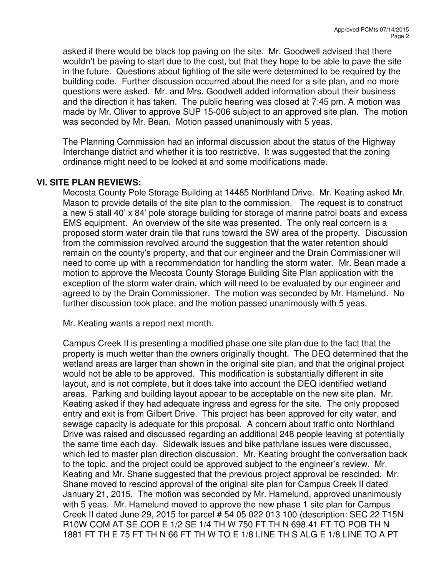asked if there would be black top paving on the site. Mr. Goodwell advised that there wouldn't be paving to start due to the cost, but that they hope to be able to pave the site in the future. Questions about lighting of the site were determined to be required by the building code. Further discussion occurred about the need for a site plan, and no more questions were asked. Mr. and Mrs. Goodwell added information about their business and the direction it has taken. The public hearing was closed at 7:45 pm. A motion was made by Mr. Oliver to approve SUP 15-006 subject to an approved site plan. The motion was seconded by Mr. Bean. Motion passed unanimously with 5 yeas.

The Planning Commission had an informal discussion about the status of the Highway Interchange district and whether it is too restrictive. It was suggested that the zoning ordinance might need to be looked at and some modifications made.

#### **VI. SITE PLAN REVIEWS:**

Mecosta County Pole Storage Building at 14485 Northland Drive. Mr. Keating asked Mr. Mason to provide details of the site plan to the commission. The request is to construct a new 5 stall 40' x 84' pole storage building for storage of marine patrol boats and excess EMS equipment. An overview of the site was presented. The only real concern is a proposed storm water drain tile that runs toward the SW area of the property. Discussion from the commission revolved around the suggestion that the water retention should remain on the county's property, and that our engineer and the Drain Commissioner will need to come up with a recommendation for handling the storm water. Mr. Bean made a motion to approve the Mecosta County Storage Building Site Plan application with the exception of the storm water drain, which will need to be evaluated by our engineer and agreed to by the Drain Commissioner. The motion was seconded by Mr. Hamelund. No further discussion took place, and the motion passed unanimously with 5 yeas.

Mr. Keating wants a report next month.

Campus Creek II is presenting a modified phase one site plan due to the fact that the property is much wetter than the owners originally thought. The DEQ determined that the wetland areas are larger than shown in the original site plan, and that the original project would not be able to be approved. This modification is substantially different in site layout, and is not complete, but it does take into account the DEQ identified wetland areas. Parking and building layout appear to be acceptable on the new site plan. Mr. Keating asked if they had adequate ingress and egress for the site. The only proposed entry and exit is from Gilbert Drive. This project has been approved for city water, and sewage capacity is adequate for this proposal. A concern about traffic onto Northland Drive was raised and discussed regarding an additional 248 people leaving at potentially the same time each day. Sidewalk issues and bike path/lane issues were discussed, which led to master plan direction discussion. Mr. Keating brought the conversation back to the topic, and the project could be approved subject to the engineer's review. Mr. Keating and Mr. Shane suggested that the previous project approval be rescinded. Mr. Shane moved to rescind approval of the original site plan for Campus Creek II dated January 21, 2015. The motion was seconded by Mr. Hamelund, approved unanimously with 5 yeas. Mr. Hamelund moved to approve the new phase 1 site plan for Campus Creek II dated June 29, 2015 for parcel # 54 05 022 013 100 (description: SEC 22 T15N R10W COM AT SE COR E 1/2 SE 1/4 TH W 750 FT TH N 698.41 FT TO POB TH N 1881 FT TH E 75 FT TH N 66 FT TH W TO E 1/8 LINE TH S ALG E 1/8 LINE TO A PT